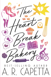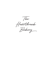The Heartbreak Bakery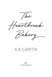

# A. R. CAPETTA

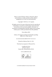This is a work of fiction. Names, characters, places, and incidents are either products of the author's imagination or, if real, are used fictitiously.

Copyright © 2021 by A. R. Capetta

All rights reserved. No part of this book may be reproduced, transmitted, or stored in an information retrieval system in any form or by any means, graphic, electronic, or mechanical, including photocopying, taping, and recording, without prior written permission from the publisher.

First edition 2021

Library of Congress Catalog Card Number pending ISBN 978-1-5362-1653-0

21 22 23 24 25 26 LBM 10 9 8 7 6 5 4 3 2 1

Printed in Melrose Park, IL, USA

This book was typeset in Warnock Pro.

Candlewick Press 99 Dover Street Somerville, Massachusetts 02144

www.candlewick.com



A JUNIOR LIBRARY GUILD SELECTION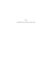Cory all of the love stories are for you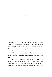## 1

The splintered crack of my egg on the counter sounds like an ending. I raise my hand and tip the runny liquid into the bowl, letting the yolk slip out. It's bright, orange, unbroken. It's beautiful, and I want to keep it that way.

Maybe forever.

But I have to whisk it, and with a few turns of my wrist the batter swallows it up. The yolk disappears like it was never there.

I dump the dry ingredients in with the wet, then check my recipe card for the fourth time. Red velvet. My hands know how to do this. Snap the bowl into place on the stand mixer. Stir on the lowest setting until everything barely swirls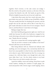together. Don't overmix, or the cake comes out stodgy. I flick the switch at the perfect moment, as the last of the dry, crummy bits dissolve into silk. My hands are good at this. Which is helpful, because the rest of me isn't really here.

I slap butter-flour paste into four round cake pans, then pour batter into each one. It folds on top of itself like a ribbon. This part usually feels like I'm finishing off a present, and the people who eat the cake later will be able to taste that it's a gift I made with them in mind. Even if we're strangers. They'll taste it, and they'll know I want them to be happy.

Baking is magic that way.

But I don't feel like giving presents right now. And I'm not really here because I'm still in her bedroom, wrapped in her towel, shivering as she peers at me without her glasses on and says, "Maybe this isn't working."

Like we're a recipe that isn't coming together right.

"Syd, do you have a minute to take muffins to the front?" Marisol calls from across the kitchen.

She's being delicate with me. Marisol isn't delicate with anything, not even meringues. On a normal day she'd let me know how unacceptable it is that I'm four cakes behind when we're about to open. She'd remind me that I'm so young, too young to be a full-time baker, even though she's only a few years older than I am. I do the whole routine in my head. Then I throw my red velvet rounds in the oven.

I grab the muffins, warm and waiting. Drop them in pale wicker baskets, inhaling the comforts of triple ginger, oatmeal and peaches with a brown sugar crumb topping, cherry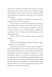vanilla strewn with dark chocolate. Each smell hits my nose and burrows into the part of my brain that believes things will be all right. But then I get to the savory breakfast muffins, sharp cheddar and smoky bacon and green onion. Those are W's favorites.

I don't know whether I should put one aside for her. I don't know what she wants anymore.

I head to the front, where Vin is standing at the cash register, settling rolls of change into the little nooks. "Hey, Syd darlin." His voice is a dark crackle, his southern accent like a drizzle of honey on top of burnt popcorn. Actually, that sounds good. I start a recipe in my head. Anything to avoid thinking about W.

"Need to talk?" Vin asks, without looking up from the quarters.

"What?"

"Seems like you're holding something in," he says. "That's not good for your constitution."

I look around the bakery. The front room is filled with early morning light and nooks where people can have private conversations. Beyond that is the wooden porch painted in thick rainbow stripes, and wrought iron tables set in a lush, wild garden. Upstairs is a wide-open community space lined in vintage couches and bookshelves stuffed with queer literature. Vin and Alec have done everything they could to make this place safe and comfortable for someone like me. Every day since I found it on a lucky wander through South Austin, that's how I've felt. Safe. Comfortable.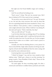But right now the Proud Muffin's magic isn't working. I feel foul.

And Vin can tell just by looking at me.

"Don't worry," I chirp. This isn't my normal voice. Did I leave it behind at W's? How much of me is missing?

"It's my job to worry about all of you," Vin says. He means it, too. He and Alec treat everyone who work for them like the ever-expanding family that seems standard in Texas. I was born in Illinois. I have parents, a sister, a scattering of aunts, and a single awkward cousin. When I told her I was dating W, she said, and I quote, "That's a bad idea, but okay."

"Syd, you still with me?" Vin asks.

I can't let him think that my feelings about W are shaking my ability to get through a shift. I could lose the best job in the world. No matter how nice Vin and Alec are, I'm the youngest person they've taken on as a baker—and it wasn't a picnic to convince them.

Actually, now that I'm thinking about it, every picnic I've been on has felt like a high-stakes situation involving me making lots of food with the likelihood that the entire outing will be ruined by some unforeseen factor.

Convincing them was exactly like a picnic.

"I think I'm hungry," I say, and my voice sounds as least halfway mine. "Didn't get a chance to eat this morning. I'm going to grab a Texas Breakfast if that's okay." Those are the peachy oatmeal muffins.

Vin nods sagely. He does everything sagely. He rides a motorcycle and listens to endless history podcasts and works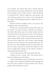out constantly. His tanned white skin is heavily tattooed, mostly with poetry running in all directions, and even though he's as friendly as Alec, he hides it better—which all adds up to a burly dad vibe. "Take the register for a few minutes, will you? Gemma's coming in, but I need to run to the bank and get change. Y'all keep going through my singles like this is a strip bakery."

Marisol would have laughed at that. I just nod at Vin, completely mature and trustworthy.

Saturday is our second-busiest morning of the week, and the moment Vin opens the doors customers start flying in. The black coffee flock comes first, mostly teachers from the Texas School for the Deaf down the street. You'd think they would sleep in on the weekend, but people get attached to their morning caffeine rituals. I sign the basics back and forth and pour brown liquid into cups. Gemma comes through the front door just in time for the morning muffin rush. She throws her I'm a Proud Muffin tank top over a basic black one. Her box braids swing and her track shorts shimmer as she moves at high speed, making sure the espresso machine is always gleaming and ready to go.

"Can you stay up front until Vin gets back?" she asks.

I hesitate for just a second. "Sure." She doesn't need to know how behind I am in the kitchen.

I make myself look busy, keep my head down, but some of our regulars aren't deterred by things like body language and how many cakes I still have to pop out before noon. They're going to make small talk at any cost.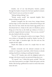Jessalee, one of our day-old-pastry hunters, pushes through the basket of rejects for the least squished croissant. "Syd! I haven't seen you out here in weeks!"

"Baking, baking, baking," I say.

"Words, words, words!" she responds brightly. She's always writing on the porch.

Jessalee's youngish, but she wears boxy vintage dresses and lace slips, as if her entire life is a rehearsal for being an old lady. Even her hair, which she dyes Easter-egg pastels, has a throwback feel to it. Today it's the color of a blueberry, pieces flying out of her bun as she holds up evidence of victory: a perfectly wrapped almond croissant. "How are you, sweetie?" she asks, flushed with the rare find.

"I'm fine," I say, testing the words on my tongue. They're not as bitter as I thought they would be. Maybe I am fine. W and I had a fight. A marathon fight. Our first real one. But couples do that, right?

Maybe this makes us *more* of a couple than we were before.

Jessalee reverently sets the almond croissant on the counter as I ring up her usual latte, which Gemma is already making, head down, looking at anything but Jessalee.

"How is W?" Jessalee asks with the delighted smile of a stranger who knows exactly one personal thing about you.

"W is good," I say. "I think she's great, actually." That was one of the main points in our fight. I think she's great, and she thinks I like having a girlfriend too much to notice that sometimes she isn't.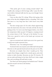"That pretty girl of yours coming around today?" Mr. Trujillo asks, nosing in with his large coffee. I pour the thinnest trickle of almond milk into his cup, even though I know he likes more.

I have no idea what W is doing. Where she's going, what piece of her day she's delighted about or dreading. This is the first time in a very long time that I don't know every little detail.

The door swings open. It's Vin with a black zippered bag from the bank down the street. He looks off, like the heat is getting to him. I've never seen that happen before, even when the temperature slides up past 110 degrees, creeping toward the certain doom of 120. "Syd, get to the kitchen," he says. "Give me a special to write on the board, get everyone out here excited."

I give an oversized nod, which turns out to be a good way to keep tears inside someone's face.

"Brownies," I say. "I'm making brownies."

Vin doesn't show any surprise, just chalks Syd's Unexpected Brownies on the specials board and sets the price at two-fifty.

Brownies are simpler than what I usually go for. They require three things: a single bowl, a sturdy spoon, and a dedication to dark chocolate. Brownies are also W's favorite. I'll set one aside and bring it to her later. She'll see it, take a single bite, and everything will melt back to okay.

"Are those red velvets going to be finished soon?" Marisol asks the second I set foot in the kitchen.

"Damn."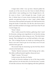I forgot them while I was up front. Marisol pulled the rounds out of the oven for me, but I have to finish off those cakes before I start anything new. Even though they're a little warm to frost, I rush through the steps. Crumb coat first. A thicker layer of cream cheese frosting with the offset spatula, one generous swipe at a time. I pipe a shaky *Happy* Anniversary Bob and Barb and squish a few half-hearted roses along the border. It looks like a lie, like the cake knows that I didn't want Bob and Barb to be happy until I know that W and I can be happy, too.

"Done," I shout.

Then I rattle around the kitchen, gathering what I need for brownies, setting some ingredients in my favorite mixing bowl and nestling the others along my arm. This feels better already. This is baking for me, not Bob and Barb or the regulars. This is baking because my hands are twitching and my heart is raw and I need to get out of my head, even if it's just until the timer goes off.

The second I dip my measuring cup into the flour, there's a knock at the back door.

"Harley," Marisol announces while boxing up her cakes. She slides cardboard panels together, sharp and exact.

"Right," I mutter. "Of course."

I always answer the door for Harley.

I settle my brownie makings on one of the long wooden tables and hurry for the back door. For the first time, I wonder if I look like someone who's been fighting with their girlfriend.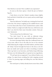How blotchy is my face? How curdled is my expression?

As soon as the door opens, I check the pin on Harley's bag: he.

I look down at my feet. Harley's sneakers dance lightly, back and forth. It feels like we're at a party and my smile forgot to show up.

"Here for deliveries," he finally says, twisting the front lock of his hair. He's always roughing up his reddish-brown curls to revive them after they've been smashed down under a bike helmet. Harley is a single inch taller than me, with brown eyes that I can clock for their exact chocolate content. Sixty percent. Semisweet.

"You're always here for deliveries," I say.

"You don't know," he says with an elaborate shrug. "Someday I might be here for a completely different reason."

On most mornings Harley takes the cardboard boxes out of my arms, talks to me in the alley for two to five minutes while balancing the weight on his bike baskets, and then takes off. Today I haven't brought the boxes to the door, so he follows me inside and I point out where everything is stacked. Then I go back to my brownies, and Harley keeps following. He leans over the baking table as I spread out my ingredients.

"W and I got into an argument," I say without Harley even asking. I've spent hours avoiding the truth, stepping around it. Now I'm pouring sugar and telling the cute bike delivery person.

The weird part is, Harley already knows more than a little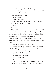about my relationship with W. Not that I go out of my way to tell him about my personal life, just that it's easy to talk to someone you see for two to five minutes at a time.

"Was it a big fight?" he asks.

I dump the sugar.

"How long did it last?"

I poke at the sugar with my wooden spoon. I won't add it to the batter until the chocolate melts.

"Hours."

"How many?"

"Eight?" That math does not make me feel better. Math has always been on my side in this relationship. W and I have been together for almost four years. We've had zero fightsuntil yesterday. We've kissed thousands of times. We've been each other's dates at twelve school dances and two weddings. We've named our future kids, then changed the names three times.

"What did you fight about?" Harley asks.

"Nothing. Everything." I can't remember how it started. It kept stretching and taking up more of the night, and by the time I tried to trace the whole thing back to an origin point, it was lost in a haze of held-back tears.

"How did it end?" Harley asks.

"I had to leave for work."

" $H_{11}h$ "

Harley drums his fingers on the wooden tabletop. Long fingers, blunt nails. "Where did you fight for eight hours?"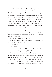Does that matter? "It started at the Thai place on South First, you know the one with the great patio?" Harley nods. "They have those long tables that you share with other people. They call them community tables, although I've seriously never seen anyone spontaneously become best friends at a restaurant just because they were squished together like that. Anyway, W and I were sort of half fighting over our food and half pretending it wasn't happening so the people on a first date next to us wouldn't notice." I'd felt like a bad representative of coupledom. "W's parents went on a last-minute business trip and my parents thought some of our other friends were there, which they were at the beginning of the night, but by the time we went out to dinner it was just us so we decided to go back to her place—"

"Full parental workaround," he says. "Got it."

"And the fight kept going, but then we . . ." I make a sort of rolling motion with my spoon.

"You spooned."

"We had sex."

Harley's eyes go a little wild, like I really threw him off the scent with the whole spoon thing. "Ohhh."

"I thought everything was better, but it wasn't, and by the time it got really bad, we were in the shower. We stayed there until the water got cold and we had to turn it off, but we weren't done fighting so we just stood there wet and cold."

"She broke up with you in the shower?" Harley shaves his voice down to a whisper. "After sex?" His current level of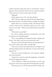eyebrow intensity makes him look so worried that I want to hug him. Then I remember that  $\lim_{M \to \infty}$  the one with the problem. "Please tell me it wasn't your first time," he adds.

"Fighting?"

Harley squints at me. "No. Your first tiiiiiime."

"Oh." I check to make sure nobody else is paying attention, then shake my head. "We didn't break up, though. We fought."

Harley blows out a dramatic breath, and Marisol shoots us both a look over her shoulder. Harley and I inch a little closer to each other. "What you described doesn't sound like a fight."

"What does it sound like?"

He winces, looking sincerely uncomfortable with what he's about to say. "Being dumped."

"Oh," I say, grabbing the baking chocolate, hacking into the bar. "Oh. Okay. And you're sure about this, why?"

"Because I've been dumped," Harley says apologetically. "I know what it looks, feels, walks, and talks like."

"Have you ever been told 'maybe this isn't working'?" I ask without looking up from my knifework. "As part of the dumping process?"

"Oh, sure. If you're looking for a list of generic ingredients, that's the flour."

I laugh, but it doesn't sound like laughing; it sounds like chocolate snapping into pieces.

"You're telling me I didn't just get broken up with, I got the grocery store *box mix* equivalent of being broken up with."

"Did you just carve a W into that chocolate?" Harley asks.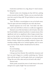I look down and there it is: a big, sharp W. I don't remember doing that.

Marisol comes over, bumping my hip with hers, putting an arm around my shoulder. "Harley, can you come back after your first round of drop-offs? We got behind on some orders this morning."

"Sure." He flicks a worried glance at me as he backs away. Then he spins and starts loading his arm with cake boxes.

Marisol squeezes me to her side. "Let's bake," she whispers, and I can't tell if this is a threat or a really nice suggestion.

Marisol is one of the best bakers in all of Austin. She's also the Proud Muffin's resident heartthrob. A steady stream of her significant and not-so-significant others hangs around, hoping to see her stride out of the kitchen in her white tank top, dark hair slicked back, arms strong from carrying enormous bricks of butter. Marisol has probably endured a dozen relationships ending while we've worked together, and I've never once seen her break. Maybe I should ask her for advice.

No. No.

I'm not breaking.

W and I aren't broken.

I shrug away from Marisol. She smells like cinnamon and hair wax and it lingers in a weirdly comforting way. "Almost done with the special," I say through a thick, pre-crying throat. "I'll get the rest of the cakes and you do lunch rolls, okay?"

Marisol nods.

Harley peeks around the tower of cake boxes in his arms and gives me a quick, bright "See you tomorrow!"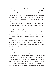Tomorrow is Sunday. W and I have a standing date to split an eggs Benedict at Counter Café after my early shift. Then we usually walk down to the Alamo Drafthouse and cram two movies into the hottest part of the day, drinking brown sugar lemonade, kissing every time a character makes a dramatic exit. Her lips tart and sugary. Her hands cold from clutching the glass.

I have brownies to make, but I can't go another minute without knowing. I pull my absolutely-banned-from-thekitchen phone out of my back pocket.

#### Did we just break up?

W is quick to respond if she's anywhere near her phone. So when she doesn't, I know she's busy, or she's angry. Either of those is okay. She's cooling off; she'll text me back when she's ready to talk.

I get back to my brownies, whisking the thin batter. Just as I'm about to slide them in the oven, I hear a commotion in the front. This sort of minor celebration happens anytime someone we all know enters the bakery.

I get the sweaty cold sense that I know exactly who walked in.

Her lemony voice cuts through everything. That same voice found me at a party in eighth grade, when I was new in Austin and she was newly out. She asked if I wanted to skip the game of spin the bottle and just kiss. I said yes. I waited an excruciating two days until homeroom on Monday and asked her out, and she said yes. By the end of that first date, she asked me if I wanted to skip the part where we weren't sure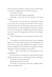about each other and just be a couple. I said yes. There's hope in my throat, swelling until I can't breathe around it.

"Is Syd here?" W asks.

Gemma yells, "Syd!" without coming back.

It feels like a long walk from the kitchen to the front counter.

The last time I saw her, she was as wrecked and naked as I was. Now W is wearing a low-cut black T-shirt, her perfectly distressed jeans, and the black cowboy boots with the turquoise details. It's early spring, but her freckles are already out in force. Her lips are a straight line, betraying nothing. I can't see her eyes. Her sunglasses are firmly on, even though she's inside.

I wish I could go back to not knowing the contents of her day.

"I can't believe you had to ask me that," she says, skipping right over any kind of greeting. But W isn't whispering, and I take that as a good sign. Nothing we're saying is a secret. We're two people who love each other, two people who had an argument and are now talking in normal voices.

"Ask . . . what?" Like there's any other question in the world right now.

W looks around as though she's memorizing the Proud Muffin. Like she has to re-create this place from scratch later.

That's when I realize she's leaving.

Everything slows down to syrup.

"We broke up." She pauses, then says it slightly louder. "We're not together, Syd."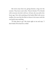She turns away from me, giving Gemma a hug over the counter. They know each other. They're friends. W is friends with everyone, but she's with me. At least, she was until a few hours ago. Now she's pointing at the basket filled with savory muffins, the ones that she likes to douse in hot sauce until she can barely taste anything.

"I'll take these to go." She looks right at me and says, "I don't think I'll be back for a while."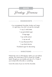## **RECIPE**

Breakup Brownies

#### **INGREDIENTS**

4 oz unsweetened chocolate, broken up (I mean, it's right there, how did I not see this coming?)

½ cup (1 stick) butter

1 cup granulated sugar

2 large eggs

1 tsp vanilla extract

½ tsp sea salt

<sup>2</sup>/3 cup all-purpose flour

1 cup dried cherries

Powdered sugar for decorating

#### **DIRECTIONS**

Preheat the oven to 350 degrees. Butter your pan before starting. This works best in an  $8 \times 8$  pan for a single batch, though you can double and use a 9 x 13 pan if you've been left at the altar or something.

Carve the name of your ex into the chocolate.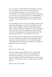In a microwave, melt the butter and chocolate in a large bowl in 30-second intervals, stirring between each. If your breakup has driven you to a tiny cabin on a mountaintop or somewhere equally dramatic where there's no microwave, you can do this step in a double boiler, or fake one with a small metal bowl over a simmering pot of water, stirring until the butter and chocolate mixture is smooth.

Let the melted chocolate mixture cool slightly. Whisk in the sugar, then the eggs one at a time, the vanilla, and salt. Toss the cherries lightly in the flour before folding them both in. This coats them so they don't all sink to the bottom when you bake. Stir all the ingredients until the moment when the white disappears and everything becomes the same gooey dark brown: be careful not to overmix.

Pour the batter into the prepared pan, and spread the top until even, remembering when your relationship looked shiny and unbroken just like this. It's a good thing that your fingers are covered in brownie goo or you might be tempted to text your ex again.

Don't.

Bake for 25 to 30 minutes.

Test for doneness with a toothpick, fork, or cake tester. It should come out JUST clean. Let cool slightly. Slice the brownies generously. Cut a heart into a sheet of parchment paper and sift powdered sugar over the cut-out shape on top of each brownie, creating a series of perfect hearts.

Misery loves to look pretty.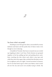

## You know what's not pretty?

Standing in your first gay bar alone, surrounded by sweaty darkness and lasers and the pushy bass of dance music even though no one is dancing.

A handful of Twizzler-thin boys in muscle tees are circled up, laughing at jokes I can't hear. Pretty femmes are grouped together at the bar, pulling up hair and pushing down necklines, touching the skin where each other's crop tops end, while they down the sugary fake cocktails that this place serves for its eighteen-and-over night. I turned seventeen in January, but it's not that hard to get in when your bakery caters events all over the city and you're not actually trying to drink. My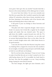neon green "don't give this one alcohol" bracelet feels like a beacon in the sweaty darkness of the oldest gay bar in Austin.

I've never been here before. I'm not even remotely sure that this was a good idea. But I needed to spend my first night without W somewhere other than at home, stretched out on the floor, listening to the banshee wail of her favorite indie bands and thinking about what to bake next.

It felt good to pour my feelings in those brownies and then walk away.

This place isn't what I expected, though. I don't want to break it to anyone, but it looks like a regular bar for straight people and maybe that one closeted uncle. The space is split down the middle: a sports-focused area with the TVs set to football—European, not American—on one side, and an ancient black-painted dance floor on the other. Even the music is mostly straight artists with a little Kesha thrown in for good measure.

I ease into the beat of the first Beyoncé song that comes on, thinking I'll be a magnet for everyone else who needed to be out tonight, everybody young and queer and freshly single, so fresh we can still taste our breakups.

But I'm out here alone, dancing to "Crazy in Love," trying to make it look like this solo act is what I wanted to do. I'm a solid backup dancer, but W is incredible, her body fused to the beat. Now that the spotlight is on me, I keep swiveling things, hoping for some kind of miracle.

The beat changes, the lights get more dramatic, and I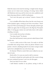think the main event must be starting. A single twenty-ish guy comes out of a back room wearing a G-string. Some wilted old Madonna starts up, and he struts out onto a platform and starts dancing without a whiff of enthusiasm.

"Let's turn this party up to eleven!" shouts a bouncy DJ voice.

I try to shuffle off the dance floor, but the voice bursts out of the speakers again, coming at me from everywhere. "Don't stop now! We're just heating up!" I freeze abruptly, afraid to get called out again, like I'm being sent to the Big Gay Principal's office. G-string guy notices me and looks down with understanding, even pity.

I try to smile, but my face is broken.

"You okay, honey?" he shouts.

Even this half-hearted, ninety-percent naked dancer feels bad for me.

I run to a dark crevice of the room. I'm ready to call this a horrible time and go home, when my phone vibrates in my pocket. I check it, thinking maybe it's my sister, trying to make up for how unhelpful she was a few hours ago.

It's Marisol. Which is weird. She's never talked to me outside of work.

#### Harley left a # in case you need to talk to someone

I'm about to thank her and maybe ask if she wants to hang out next weekend, because I can't ever do this again.

#### Don't text back I'm on a date

I add Harley's number to my phone, saving it with an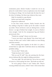exclamation point. *Harley!* Usually I would let it sit in my phone for weeks before I sent an exploratory text, but tonight I'm doing new things. I let my hands take the lead, the way I do when I'm baking. I let them type whatever they want.

Help I'm stranded in a gay disaster Harley texts back half a song later. Prepared to rubberneck

In less than twenty minutes, Harley bounds into the bar, smiling so big that it makes up for the smiles I messed up earlier. Those red-brown curls are shining from a recent shower—no sign of helmet hair tonight. As soon as Harley's close enough, I look for the omnipresent bag and Harley's pronoun pin: they.

"Thanks for coming!" I shout over the music.

"I never turn down a gay disaster," they shout back, and I swear it's flirty, and I swear I didn't realize we were flirting until this moment.

We're standing close together. In the dark. In a place I invited them to, right after I told them about my relationship probably ending.

"Are you okay?" Harley asks.

"Today has been a lot," I admit.

"Did you and W talk?" they ask, peering into the laserstrewn darkness like she might be hiding somewhere.

"You were right." My neck feels hot. Not as hot as a stack of ovens in a Texas spring, but close. "She broke up with me."

"So we're going to dance it out?" Harley asks. They're wearing artfully loose jeans, a fitted T-shirt. I feel certain their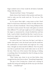finger-combed waves of hair would do all kinds of adorable things while they dance.

"Already tried that," I shout. "It's hopeless."

Harley shoves their hands in their pockets and leans forward to make sure the words reach me. "It's not you. This music is stale!"

 As if to prove them right, a song comes on that I don't think I've heard since elementary school. It's dully electronic, the lyrics all about heartbreak. About being bulletproof the next time it comes around. The music video glares at us from three different TVs, and I get caught up in how androgynous the singer is, mesmerized by a broad, freckled face and lean body. I used to think I should look like that. I used to be confused every single time I stared at the mirror and what I saw screamed back girl.

I'm used to the way I look now, the hips I can't hide no matter what pants I wear, the broad waist and the small feet, the combination of round cheeks and rough jaw. For a long time, I thought my body should be different. Now I'm pretty sure that no particular body would make sense to me all of the time. That's one of the reasons I like dancing, or baking, or anything where I'm inundated by what I'm doing, too busy feeling to feel wrong.

"Wait," Harley says, closer to my ear than before, close enough that they don't have to shout. "Something's happening."

The guy in the G-string has a friend now, wearing an equally tiny string and nothing else all the way up to his head. "Is that . . . a baseball cap?"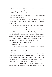"A bright purple one," Harley confirms. "Do you think he came straight from a game?"

"Of what?" I ask. "Sexball?"

Harley gives a few shy blinks. They try not to smile. But their dimples are winning.

"I'm in love with this look." I wave at the leather-and-cap combo. "It's like two ingredients that shouldn't work together, but they do."

It's more than that, though. He's dancing. Really dancing, with brazen moves and zero self-awareness, to a song nobody's thought about for ten years. He fills up the entire platform, arms wild and lunge-steps shameless. The singer in the video sounds so bored with the idea of becoming bulletproof, eyes sad like they already know it isn't going to work. But this guy dances like he believes it. We hit the chorus, and he does the shopping cart. It's glorious. He's buying *everything*.

"He owns this song!" Harley shouts.

"He *is* this song."

"I'd say we should join him, but I think we have to let him have this one."

"Tonight belongs to Red," I agree.

His enthusiasm must be contagious, though, because Harley and I look at each other and a bolt of energy passes between us. Five minutes ago I felt ready to end the night, but now it seems like it's just starting. Grabbing Harley's hand, I sprint out of the bar before the DJ can yell at us.

Sixth Street is what a bloodstream must look like during a sugar rush. On weekend nights they close it off to cars,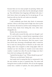because there are too many people out partying. Harley and I try to walk next to each other, but the sidewalk gets choked up. They fall behind, their fingertips still linked with mine. I don't know where we're going, but I'm not giving up. W can break up with me, but she can't make me miserable.

Not unless I let her.

I walk confidently past block after block of restaurants and bars. Above us the sharp teeth of high-rises chew up the sky. Greenery all around us and live music leaking from every doorway keep Austin from feeling like every other interchangeable city.

Besides, this is just downtown.

We walk south, toward the lake, and even though I can't see it, I can feel it there, a natural barrier separating us from South Austin, where I live, where I work, where most of my life takes place. W lives downtown. She's the reason I came here all the time, browsing at BookPeople while I waited for her to meet me, driving down to Mozart's on the water and sitting under trees wrapped in white string lights while we clutched our hot chocolates in Austin's never-truly-winter weather. I wonder how often I'll cross the bridges now that I know she's not waiting on the other side.

"I picked the last place," I say. "Where should we go now?"

"Wherever you feel better," Harley says.

And maybe just by saying that they've summoned it, but the next window we pass is a popsicle shop. The entire wall facing the street is made of windows. We can see the toppings sorted into a rainbow of options, the menu plastered with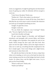sweet, icy suggestions. It might be getting late, but that doesn't mean it's getting any colder. It's definitely still hot enough to want one.

"I don't know this place," Harley says.

"Neither do I. That's what makes it an adventure."

There are new places in Austin all the time. Some days it feels like the city won't stop to catch its breath, like whenever you look up, it's trampled something you love.

Tonight, I'm glad this is here.

Tonight, I need new.

"Do you think the employees wear G-strings?" Harley asks. "You set a high bar for the evening."

I push their shoulder and laugh.

We get coconut dipped in chocolate, and half-dipped strawberry, and pineapple with coconut flakes, and banana with a shaggy coat of sprinkles. One popsicle for each of our hands. Harley bumps the door open with their back, then spins out into the night. I follow, and in the single moment it takes me to catch up, everything that felt complicated in the bar is simple again. I have sweet things and a slight breeze, and someone to share them with.

We walk the last block to the lake. It's down a slope from where we're standing, so we're not on the bank but above the water, looking across the trio of flat bridges that lead to South Austin. It's calmer there, and the lights look warm. I try to pick out the Proud Muffin.

"Want to walk over?" Harley asks.

"Maybe just halfway."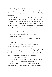It takes longer than I think it will. We stop and stare out at the dark ripples and get really invested in our popsicles. I want a bite of the strawberry one, so I sort of dive for it, and Harley holds it out.

I lean in and bite. It tastes good, with patches of real strawberry. And then this feels weird, because it's how I would share with W. And then it feels weirder, because her family's condo is only a few blocks from the bridge, and all I can think about is her looking down and seeing me share dessert with Harley the day after we broke up. Technically, it's the same day.

I swallow and retreat a few steps.

"How did you end up in that bar?" Harley asks.

"It's my sister's fault."

"Your sister brought you to a gay bar and then ditched you?"

"Well  $\dots$  no."

Harley laughs and then waits, like they did at the bakery. Like they're making room for me to say more.

"My sister Tess is at Northwestern," I say, sticking to my pineapple popsicle. It's good, but not as good as the strawberry. "I didn't want to tell my parents about W yet. They kind of love her. I thought calling my sister would be like . . ."

"A warm-up?" Harley offers.

"When I told her what happened, Tess said that it sounds rough, because I don't really have a life without W."

Harley winces. "I'm glad my siblings are little. They just accidentally pee on me and hit me with foam swords." I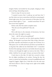imagine Harley surrounded by tiny people, clinging to their arms and legs, demanding snacks.

I have to stop. It's way too sweet.

"I wanted to prove that I could go out and have fun," I say. But when you move somewhere and find an amazing girlfriend right away, all of your memories of that place have the person baked right in. "I just . . . needed somewhere W and I have never been together."

Harley nods, like this makes complete sense.

"Was she your first girlfriend?" they ask.

"Yeah."

We're still close to the intensity of downtown, but here above the water, the night is so quiet.

"And . . . did W call you her girlfriend?"

It takes me a second to see the whole question Harley's asking. "W thought it was funny that I like to bake. Most people think cupcakes and kitchens are girly, but I'll throw on a frilly apron over cut-offs and boots and shave my head like it's no big deal. She called me her Bold Baker Girl." I remember the feel of her playing a hand over my freshly shaved scalp, and I shiver, even though the night's as warm as her skin. "After a while, I told her I'm not a girl. At least, not most of the time."

I look down at the lake. It's dark but covered in shine, the city lights trembling on its surface. During the day, the water is a pretty but boring blue, covered in paddleboards and ringed by joggers. Right now, it feels like we're the only ones who know about it. Like it's a huge secret, right in the middle of everything.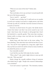"What are you most of the time?" Harley asks.

"Agender."

That word takes a lot to say out loud. I reward myself with the rest of the banana popsicle.

"Got it. And W . . . got that?"

"It didn't seem to bother her." It still took me six months to work up to saying it out loud to a single person, and when W broke up with me, it felt like I lost that moment of bravery as much as I lost her.

Everyone at school knows I'm queer. My family knows. I know how lucky I am that I was never scared to say it out loud. I don't know why it's harder to tell people that I don't feel attached to a specific gender. That some days wearing a femme outfit or acting a masc way feels nice, but neither of those things is *me*.

Harley leans with their back on the stone railing. "I've been thinking." They take their time with the last bite of coconut. "You and W were together for a long time, right? Don't they say that you need to be sad for at least as many months as you dated the person, in years?"

Four miserable months?

I can't feel the way that I felt today for four months.

"Who is they?" I ask, ready to fight whoever came up with that rule. "Who says that?"

Harley shrugs the casually stubborn shrug of someone who thinks they're right. "People who research relationships. Love scientists?"

"Love isn't science," I push back. "The chemistry matters,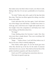that makes sense, but that's where it starts, not where it ends. Baking is like that. It's not just a predictable set of reactions.  $It's -''$ 

"It's what?" Harley asks with a quirk of the lips that feels like a dare. They lean one elbow against the railing, cross their boots at the ankle.

I don't talk about this, but then again, I don't talk about any of the things I just told Harley. I wouldn't have done it a week ago, and a week from now I might talk myself out of it, but tonight I have this compulsion to tell Harley how I feel about baking, and therefore about love.

"It's magic."

I keep thinking about the brownies I made. How they were more than a simple dessert. They were everything I felt as W broke up with me.

"Magic . . ." Harley echoes. I can't tell if they believe me, if they're not sure, if they're silently judging me.

Then Harley smiles again. It's not the broad grin from when they showed up at the bar. It's the smile of someone who's been let in on a secret. They hold out the last bite of the perfect strawberry popsicle, and I dip my head for it.

I don't care if W's watching from somewhere above us.

This tastes too good to pass up.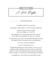## **RECIPE**

Bad night

## **INGREDIENTS**

1 breakup, fresh if you can get it

4 popsicles, eaten earlier in a fit of trying to forget her

1 sister who won't text you back because college is so much fun

46 neighbors at a house party next door, most of whom seem to be making out near your window

2 assignments you have to finish before Monday because you spent all your homework time on breaking up

1/10 of your normal confidence

A pinch of parental worry

10,000,000,000 frantic phone checks to see if your ex texted you (she didn't) to say she wants you back (she doesn't), which you definitely know, and have basically come to accept, so why are you still checking your phone?

1 possible new crush at the worst possible moment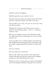**DIRECTIONS**

Heat the world to 94 degrees.

Add the popsicles to your stomach. Let sit.

Get home late and watch your parents react. Mine skulk around in suspicious silence. Your flavors will vary.

Shut yourself in your room, shut your ex out of your mind, shut off your phone.

Definitely do not look to see if she's gone on social media to post anything cryptic, or sad, or—worst-case scenario—sexy.

After you've checked, shower it off. Wrench the water to a dead stop when you remember how much you hate showers now.

Armor yourself in your comfiest pajamas and climb into bed. Realize that the post-sugar misery pounding inside your head is being echoed by the pulse of a party next door.

Shut your window.

Get too sweaty! Turn up the AC!

Get too cold. Open your window to the sweet smell of lemon blossoms and the less sweet sound of people making out in the alley behind your house.

Slip back in time, to every party you spent in the darkest corner, the backyard shadows, the guest room with the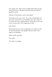door gently shut. Relive every middle-of-the-night wonder, every discovery in the dark, all those times you felt too good for words.

Wonder: If that doesn't work, what does?

Think about your new crush. Try to stop immediately, but once you've poured in an ingredient, you can't unpour it. It's in the mix now, swirling around. Think about your new crush's secret smile. Their eagerness to talk.

Their hands.

Decide that since you're not sleeping, you might as well do some homework. Fall asleep with your face in the vagina of a textbook.

Wake up the next day.

No, really.

Your alarm is ringing.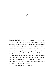3

Most people think you can't have a bad hair day with a shaved head, but my porcupine of frizz and I are here to tell you they are wrong. Fortunately, there's no one around to see me when I slump into the back door of the Proud Muffin. I flip on the kitchen lights, one row of switches at a time. Oil shines on the wooden worktops. The steel of the great big mixing bowls glows, pristine. Rows of darker cake pans wait to be filled.

The bakery counter is beautiful, the porch is bright, the garden welcomes everyone, and the community room upstairs gives them a big queer hug, but this is the heart of the Proud Muffin. A kitchen that gets wrecked every day, and by morning looks perfect and untouched.

Why doesn't my heart feel like that?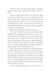I knot my apron with thick, stupid fingers. I thought I would be better today. I thought this would get easier, not harder.

I check the tags for special orders. Not that many, which is normal for Sundays, just a few basic birthday cakes. I line up everything I need to whip through these and get back on Marisol's good side—whichever of her sharply shaved sides that happens to be today—and show Vin and Alec that I'm not the kind of teenager who can be taken down by something as obvious as a broken heart.

But before I start baking, I check on my brownies.

The counter staff hasn't arrived yet, and I keep the front lights dim. The baked goods that keep for more than a day the cakes and pies and cobblers—are lined up and mummified in plastic wrap. The plate of brownies is exactly where I left it, barely dented by the customers yesterday afternoon. There were twelve of them. There are ten left. As I unwrap the brownies, the scent of midnight-dark chocolate nudges me to the past, a place where I really don't want to go.

But I'm already back at the first time I made her brownies. We made it through three whole months of dating before I asked if I could bake for her. Somehow that felt more official than saying the word *girlfriend*. Somehow that was a bigger deal than telling my parents I was going on a date and letting them take a thousand pictures like it was prom, even though I was wearing chewed-up jeans and W was trying to hide a tiny halter top under her jacket.

A dozen dates after that first one, I sat her down in my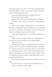living room and put on a movie—*Jane Eyre*, the good version with Ruth Wilson—before I went to the kitchen and got to work. W shouted the plot at me.

"Jane's got a little friend who is definitely into her!"

"Oh no, Jane's friend is dead!"

"Jane got older and now her eyebrow game is amazing!"

In between those shouts, she asked for regular baking updates.

"That ruins the magic," I said. Secretly, I was worried that nothing would get baked with W looking at me. Her stare had the power to unbalance everything. It could have distracted me into scorching an entire pan of brownies.

"Is the magic happening now?" she called in a sharp, teasing voice.

I didn't answer. I just kept stirring, my wooden spoon tireless until the melted chocolate was one glossy puddle.

"Now?" she asked.

When I finally brought out a single brownie on a plate, W smiled at me in a way that could have lit up the countryside in a blackout storm. She accepted the plate as if I'd offered her something precious. The brownie had that perfect justslightly-underbaked ooze in the center, with a crackle on top. It smelled like the best chocolate I could afford, like tart cherries and good life choices.

These brownies smell like that, too, but they're not the same.

The lights snap on—someone's here. Probably Gemma.

I leave a note for the counter staff.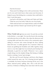#### Push the brownies!

These aren't I'm-falling-in-love-with-you brownies. These are it's-over-and-I-don't-know-what-comes-next brownies. It helped to pour that feeling into a container that could hold it. Now I want them gone.

I go back to the kitchen, and I bake and I bake and I bake.

I bake her out of my body, I bake her out of my hands.

I bake until my heart is an empty kitchen, ready to be filled with sugar and heat. Ready to get messed up all over again.

When I finally look up from my work, Vin and Alec are both in the kitchen—a rare sight. Vin runs the front in the morning and otherwise lives in the office. Alec takes the afternoon and evening shifts and hosts the events in the community space, talking to everyone who comes through the door, making them feel seen—or safely ignored. For a moment I think my bosses are grabbing late breakfast and coffee together, being cute in a way that might hurt my stomach post-breakup but, ultimately, is good for my health. Whenever I see a queer couple doing even the simplest things, like kissing or holding hands or existing, I swear I get stronger.

But Alec and Vin aren't sharing a café breve, their fingers curled around the same cup. Vin is leaning forward against a worktable, his hearty forearms showing all the way to the elbow, tattooed poetry spilling. Alec, who is tall and trim and has a Professor of Baking look, leans back with his arms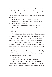crossed. His apron always seems like he unfolded it fresh from the laundry, and under it his slacks and dress shoes are just as sharp. He keeps pinching his nose just below his perfectly round tortoiseshell glasses. Their voices are low but undeniably clipped.

This is not impromptu-breakfast-date body language.

Marisol hits my shoulder with hers on her way across the kitchen. "Grab some eggs for me?"

"What?" I ask. "You have, like, a gross of eggs right—"

Marisol stares at me with the force of a thousand managers.

"Right."

"I'll get the butter," she adds, like this is the continuation of a talk we've been having and not some weird improv we're doing to get away from Vin and Alec, and starts toward the walk-in. Are we giving them space? Are we running away?

I trail behind her, my body flooding with memories of my fight with W. When I pull the latch and close the door, they all crash down. It's bitterly cold in here. As cold as the aftermath of a bad shower.

"Marisol, I can't hang out in a big freezer," I say, shivering.

"Do you have a medical condition?" she asks, bracing one foot against an upturned, empty crate.

"No," I admit.

"Then sit down and pretend you're in Canada."

I pull up another crate and sit with my knees spread wide. I have a good view of my legs mottling with the sudden cold. Marisol goes to work, making sure the cartons of cream are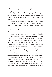sorted by their expiration dates, acting like that's what she actually came in here to do.

Knowing that Vin and Alec are fighting makes it impossible for me to focus on anything else. It's like seeing your parents fight, but more upsetting because they're everybody's parents.

Maybe if we went back out there, they'd stop. "Are we just supposed to stay here until they're done talking?" I ask. "I don't have a timer on the lemon bars, and they have to come out soon."

"Your lemon bars don't exist without Vin and Alec," Marisol says.

She's not wrong. Vin and Alec are the Proud Muffin. Alec likes to say that they opened a bakery because gay marriage wasn't legal in Texas ten years ago and they needed a couples' activity—but that joke is just the shiny finish he puts on the truth. Toxically masculine and homophobic kitchens had already exhausted Alec by the time he met Vin, whose early jobs were in advocacy and activism. Plus, he really likes muffins. They put absolutely every dollar and dream they had into opening this place; now dozens of groups meet in the community space. Regular free drop-offs are made to queer-friendly homeless shelters in the area. And the bakery hosts at least one transiversary a week, cake on the house. Marisol had her first when she still worked the front counter—she made her own cake, of course. And when the Defense of Marriage Act was overturned by the Supreme Court, the very next day Vin and Alec had their wedding in the bakery. Sometimes I think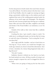I'm the only person in South Austin who wasn't there, because I was still in Illinois. Vin told me about it the first time I came to the Proud Muffin, when he caught me running my fingers along a particularly wobbly stripe on the rainbow porch and explained that some of the wedding guests painted under the influence of too much sugar and champagne. The afterparty lasted all week, because people kept showing up to celebrate. Queer folks and trans folks and allies, neighbors and family and friends. If the Proud Muffin is an institution, so are Vin and Alec.

Outside of the walk-in, their voices heat like a suddenly jacked-up oven.

Cracking the door, I give myself a stripe to watch. Vin walks into it, scrubbing his hands over his face like he's trying to wash off a layer of frustration. "You're acting like I'm serious about this."

Alec's sigh could lift a boulder—and set it back down on Vin's big toe. "If you weren't, you would have brought it up weeks ago. Instead, you chose to hoard this information. Turn it from a harmless oh-a-funny-thing-happened-today into a big old secret."

"Oh, shit," I mutter.

Suddenly, Marisol is behind me, her hand on my back, her head stacked over mine. All these months of trying to act mature enough to impress her, and I've dragged her down to my level.

"When were you going to bring up the fact that you're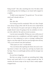being wooed?" Alec asks, marching into view. He takes a bite of something that he's holding in one hand, half-wrapped in a napkin.

"It didn't seem important," Vin growls out. "I'm not interested, and I already told you . . ."

Shit.

Shit, shit, shit.

Vin is being wooed by somebody? Who isn't Alec? People were always trying to flirt with W, but she never really flirted back. "Just because I'm queer and open to dating all sorts of people doesn't mean I'm going to bat my eyelashes at everyone who walks by," she said on several occasions.

I can be more susceptible. I'll drop my voice a full octave if someone gives me a compliment, and fairly regularly I would stare at a cute waitperson or actor or stranger walking their dog in a way that made W lace her arm through mine and say, "Oh, so you noticed Cutie McCutePants."

"Their pants are cute," I would admit.

"You can dream about getting into them, but you're coming home to these," she would say, and slap my hands onto her hips. Then we would laugh and kiss until the stranger was forgotten.

No one here is laughing.

But they are eating. Vin picks up something dark, fudgy brown and scarfs half of it in a single stressed-out bite. It matches the brown stripe at the top of Alec's neatly napkinwrapped treat.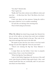"You okay?" Marisol asks.

"Fine," I grate out.

"Really, Syd? Your skin is about seven different colors and your hair . . . it's like dryer lint. Wow." She flicks a bit of activated fuzz.

I don't care about my hair anymore. Easing the walk-in door open a little bit, I try to confirm something.

Vin and Alec are sharing a late-morning treat.

They're both eating my brownies.

When the silence has lasted long enough that Marisol lets me out of the walk-in, my lemon bars aren't just overbaked. They're gummy, charred, fused to the pan. They reek of rotting citrus and sugar that went to the dark side.

She squats to peer into her own ovens, to see how much damage Vin and Alec's fight did. "How do yours look?"

"They're not winning the Big Gay Texas Bakeout," I mutter.

I scrape them out, but before I have time to properly mourn them, I hear a voice from behind me.

"What's the Big Gay Texas Bakeout?"

I spin to find Harley lingering in the doorway of the staff room. I give the pin on Harley's bag a quick check—they—and remind myself that they are, technically, staff. I've just never seen them over there before.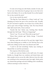I've also never hung out with Harley outside of work, and I'm not sure what direction it's going to tip us now that we're back in the bakery. Do we act like friends? Do we flirt harder? Do we stay exactly the same?

Can we stay exactly the same?

"The Big Gay Texas Bakeout is a thing I made up," I say, dumping my lemon bar pan in the enormous sink. Actually, W and I invented it together, out of sheer love of Mary Berry and an epic week of binge-watching. "Like The Great British Bake Off crossed with a Texas cookout."

"Sounds like fun," Harley says, hooking their thumbs through their belt loops. "When is it happening?"

"Never," I say. "It's not real. When did you get here?"

"About three minutes ago," Harley shrugs. "I knocked, nobody answered."

Did they catch the tail end of Vin and Alec's fight? Did it leave them feeling just as wobbly as I do? Did they flee to the staff room, hiding out the same way Marisol and I did?

"I need to ask Syd something," Harley says, looking at Marisol like we need her permission.

The empress of the kitchen nods.

I walk over and join Harley in the staff room. It's empty besides us, though there are condoms and dental dams and lube samples strewn across the table, leftovers from the safer sex workshop in the community space last night. Harley picks up a dental dam package and starts fiddling with it mindlessly, without seeming to notice what it is.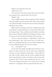Which is not awkward. Not at all.

"What's up?" I ask.

"Oh, you know. I just had a request from one of my delivery customers. For a special order. One of yours."

"Really?" I ask.

This is mildly amazing. When people go off the standard cake-and-muffin menu for special orders, they always request one of Marisol's bakes. It's the first time someone's asked specifically for one of mine.

Right when I'm starting to feel more confident about this conversation, I realize that there's no reason that Harley and I are having it alone. They could have easily talked to me about this in front of Marisol. Suddenly I'm looking at the floor. And I'm aware of every inch between Harley's shoes and mine.

I have a recipe for being in a relationship. I spent four years perfecting it. But I don't know how to do this part where I'm watching Harley like a pot of almost-boiling water, but I'm still thinking about W every five minutes.

"So . . . the request?" I ask.

"It was from the people I brought those brownies to yesterday." So that accounts for the two that were missing this morning. At least somebody wanted them. "They really love your olive oil cake." Harley says the words carefully, like they had to commit them to memory. Do they not know what olive oil cake is? How? They've been working here for over a year. "They were hoping you'd make it for a party they're hosting tomorrow. I was going to fill out a special order form, but . . ."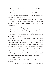But Vin and Alec were stomping around the kitchen, strewing their personal business everywhere.

"Do they want mascarpone frosting or fruit?" I ask.

Harley tries double finger guns, then seems to think better of it, quickly uncocking them. "Fruit."

"Did they like the brownies?" Now I'm just fishing for compliments. Or trying to keep Harley here for another few minutes. They're bouncing on the balls of their feet like this is already over.

I'm so sick of good things being over.

"Oh, yeah," Harley says. "Big hit. I mean, they both said they loved them before they started—"

"Started what?" I ask, sharp as a sudden tester speared right through the center of a cake.

"Fighting?" Harley says. "Like, a couple fight? It was really awkward. I've never had that happen on a delivery before. Sometimes people are clearly hitting the pause button on a fight and pretending they're okay. Lots of wincing smiles and sour body language. But Rae and Jay seemed fine when I got there, they dug into the brownies like they just couldn't wait, and then an argument fired up, big and dramatic, and I was standing right there waiting for them to sign their receipt." They wrap their arms around themself, still bouncing.

"You okay?" I ask.

"Sure," Harley says. "I should just . . . you know . . . deliveries."

They care about their job nearly as much as I do. They've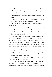told me about it while strapping a dozen cake boxes onto their bike. I should let Harley go. But I can't stop thinking about those brownies.

The ones that have landed in the hands of fighting couples. Twice.

"Come with me for a minute," I say, tugging at the shoulder of Harley's muscle tee. "And leave the dental dam."

They drop it and leap backward. "Why are those in the break room?"

We weave around the worktables in the kitchen, ignoring the cake boxes for now. A few more shirt tugs and we make it to the front counter. The barista, D.C., looks up from some kind of elaborate iced mocha.

"Hey, Syd!" D.C. gives me a glowing smile. He's a white guy, about thirty, with overeager slices of silver in his shoulderlength black hair. A few years ago, he left the military and came home to some realizations about himself, starting with pansexuality and ending with great big drag-queen tendencies. He might be a dozen years older than me, but he's the cutest kind of baby queer. And he treats me like a wise and ancient bisexual, which, to be honest, I love.

"Where are the brownies?" I ask, pinpointing the place where they used to be with a stare.

"Oh, we really pushed them," D.C. says with an extra helping of helpfulness. "Like you asked."

He points to the spot right near the counter, where a single brownie sits on a small plate. All of my feelings about W's abrupt ending have been condensed down to this one square.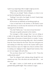I pick it up, inspecting it like it might cough up secrets.

It stays fudgy and silent and unhelpful.

"What are you doing?" Harley whispers, so close to my ear that the feeling flicks down my spine.

"Nothing," I say with a low laugh. I'm tired. I barely slept last night. There's nothing to see here.

My brownies are definitely not breaking people up.

I turn to head back to the kitchen, to fill Harley's arms with cake boxes, to scrub away the memories of Vin and Alec arguing all over the kitchen.

"Um, Syd," Harley says. "I see more of your brownies."

They spin me gently and point to the window.

Two teenagers a little younger than I am are sitting at a table in the garden, their hands flying. In front of them, a shared plate of brownies is busted down to crumbs. I recognize these two from the morning coffee rush—they're students from the Texas School for the Deaf. They love iced green tea and making out while they wait for the counter staff to pour them enormous cups of it. Right now, they're nowhere close to making out. Judging by their clipped hand motions, they are not very happy with each other.

"Do you know those two?" I whisper to D.C. "From the endless drink orders?"

"Sure," he whispers back, playing along though he's not entirely sure why. "Kit is the short one and Aadi is the . . . not short one."

He's right, I notice, as Aadi stands up and unfolds to gawkish baby giraffe height. They continue to argue.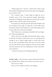"What's going on?" I ask D.C. I don't know if this is part of his military background, but he knows about ten languages, one of which is ASL.

D.C. watches, waits. "I don't think it's right for me to translate some of the more personal teenage relationship details they're flinging around right now, but let's just say they might be done with the public mouth aerobics."

Kit stands up so abruptly that the little table shudders and two iced green teas erupt. Ice chips fly as Aadi stalks away, frustrated, and Kit is left behind to crouch awkwardly and try to sop up the mess with several napkins.

"Hey," Harley says, touching my shoulder with one fingertip. "What just happened?"

When I look over, the light that floods the bakery seems to melt the chocolate in their brown eyes. I'm stirring up the courage to say it. Harley might laugh, or slowly back away. I'm not sure I would blame them. But I have to let the words out, the ones that have been trapped on the end of my tongue since the moment I saw Vin scarfing down a bite of my bittersweet catharsis.

"I think my brownies are breaking people up."

Sunday night, as the sky burns orange and the bats fly down the Colorado River, Harley and I step out of my beat-up car.

We're not on a date.

We're on the weirdest not-date I can imagine.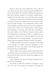Harley is still in the same clothes they wore to bike all over Austin: stretchy shorts, an extra-long Proud Muffin muscle tee, short yellow vest, and those fingerless bike gloves that leave their knuckles exposed. I'm covered in muffin batter. I couldn't wait. Not after what I saw at the bakery this morning.

Harley gave me directions to this place, which seems to be a pocket-size theater. It's tucked between two houses on a side street off South Congress. I've probably been within a block of this building a hundred times and never even imagined it could be here. That's one of Austin's glories. It feels organic and surprising in a way that other cities don't. According to Tess, who watches a lot of History Channel and cares about weird things like city planning, it's due to a complete lack of zoning laws. I told her not to take the mystery out of it, and she told me that I'm a terminal romantic. "In case you're wondering, that's four steps past hopeless romantic," she added.

I scoffed and didn't let her pinch a spoonful of the dough I was working on—lavender and lemon shortbread—a true punishment for Tess, who believes that all baked goods are best before they're actually baked.

Harley strolls up the walkway, hands in their back pockets, like this is just a normal day. Like we do this kind of thing all the time. But this is only our second time hanging out in a nonbakery setting.

And it's definitely our first time trying to break up a couple with my baked goods.

The theater is called the Comeback, according to a sign above the door. The windows are papered with signs for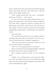shows, mostly local comics and experimental theater groups. Harley waits by the door, but I feel a little stuck. "I still can't believe you're willing to believe me."

"Three couples sounds like more than a coincidence," Harley says. "And Syd . . . you're a force."

I try not to worry too much about whether that's a compliment, focusing instead on the fact that Harley is telling me they really think I might have infused my feelings into my baked goods, which then stirred up the same emotions in other people. W always teased me about the whole magical baking thing, treating it like a cute little play I was putting on for her.

It was never that.

"Do you have the last brownie?" I ask, nodding at Harley's messenger bag. They pull it out and hand it over to me, careful not to disturb the layers of napkin I wrapped it in.

"Time to put your theory into practice," Harley says. "But first we need to find our test subject."

"Wait," I say. "We're going to *feed* it to someone?"

Harley cocks their head, curls flopping slightly. "What did you think I meant when I said we should test it?"

"Eat it ourselves, maybe? Or study it on the molecular  $|ev_1|^2$ 

"Neither of us is dating anyone at the moment," Harley says, and I can't help but notice how they folded their single status into that moment before ducking their head shyly. "We need a relationship here, right?"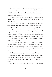"But we'd have to break someone up on purpose," I say, as horrified as if Harley told me they love white chocolate which is not chocolate. It's an abomination of sugar and manufacturing leftovers. Fight me.

Harley is almost at the end of the short walkway to the theater before they twist back and say, "Oh, I've got a couple to nominate."

I rush to catch up, following Harley into this tiny dim theater where they apparently know a relationship in need of crumbling. I hold the brownie loosely in my grip—I don't want to squash it, but I don't want to drop it on this grubby lobby carpet, either. I wince at the sour atmosphere, the ghost of crappy beers past. A black velvet curtain with a few bald spots and a weird stain separates us from the theater—classy—and Harley approaches it, peeling it back to watch whatever's happening on the other side.

I take the other end of the curtain, pulling it aside with my non-brownie hand. There's no audience out there, but the stage is occupied by a group of college-ish people wearing jeans and dark T-shirts who are pretending to be drunk dinosaurs.

"We're going to break up an improv troupe?" I ask.

"As much as I'd like that to be our objective, no." Harley nods at the very back of the theater, where a person is folded up in one of the seats, legs dangling out of the sandwiched halves.

"I'm going to need more information," I say. Harley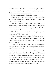wouldn't bring me here to break someone they like out of a relationship—right? They wouldn't use my breakup brownies for their own personal gain, would they?

Harley doesn't seem like that kind of person.

Of course, now is the exact moment when I realize that as much as Harley knows about my love life, I know next to nothing about theirs.

"Eve hasn't taken a night off from practice since they started dating two months ago," Harley says. "Her boyfriend insists he needs her here for moral support. He says that it's a relationship builder."

"Sounds like a top-notch significant other," I say, sticky with sarcasm. "Which one is he?"

"The velociraptor in the middle," Harley says, pointing out a screeching white man-boy whose hands are curled into claws. "Eve is really great. She helped me get my bearings when we first met."

"What kind of bearings?" I ask, realizing belatedly that these people are all much too old to be high school students. "Wait, are you in college?"

Harley quirks one red-brown eyebrow, letting me wait in a dramatic silence that feels distinctly high school. "Yes and no. I've been taking college courses since sophomore year. Anyway, when I started, Eve was dating Robbie, who's amazing, but he transferred. Then Eve went out with Nia, and Nia is also incredible, but that didn't work out. And then Eve got lonely right around finals and hooked up with him."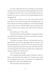I've never really faced the idea of dating so many people. Thanks to W, I've been locked in all through high school. Now I'm single for the first time in my entire dateable existence. I honestly can't seem to untwine that strange feeling from the dumping itself.

Harley and I walk up to Eve, who unscrunches herself from the seat. She's tall and Asian and scowlingly pretty—at least until she sees Harley and lights up. Then she's glowingly pretty. "Hey," she says, with the wilted voice of someone who hasn't seen the sun in months. She really has been holed up in here.

"Eve," Harley says. "This is Syd."

"We both work at the Proud Muffin," I add quickly. Which saves Harley from having to say if we're coworkers, or friends, or some mysterious third thing.

"That place is so great," she says. "My boyfriend won't eat baked goods. He says the stage lights add ten pounds. And then he laughs like it's a joke, but I know he means it because I made him pancakes once and he just side-eyed them like they were attacking him with calories and then took a single bite to 'make me happy.'" She rolls her eyes.

"Ew," I say under my breath.

A lot of people look shocked when I tell them I work at a bakery and insist that they could never, because they would eat everything and get so fat. As if, because I'm solidly built, I'm supposed to share their fatphobic fear.

This is horrible, and I tell people so.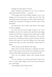Onstage, the velociraptor screeches.

Harley shudders and whispers to me, "Do you think he makes that sound when they . . . you know . . . ?"

"We brought some Proud Muffin straight to you," I say, holding out the brownie like it might save Eve's life. This whole plan started out feeling more than a little morally questionable, but at this point I'm happy to lend her a piece of my heartbreak.

Her dark brown eyes crackle with interest. Her fingers reach out, wiggling.

Eve tucks into the brownie right in front of us, in the breathless way that I've noticed only small kids and college students eat, like they've forgotten food exists until it's right in front of them again. "Uhhhh. Mmmmmm. Oh my fucking god." Eve is having an intense, private moment with this brownie. She stares at it like she's falling in love. She makes sounds that under any other circumstance would make me blush.

"Wow," she says, as she finishes with a sigh.

Harley and I are both staring now, waiting for the aftermath. For the moment when the brownie unleashes its power and her relationship with this terror of a pretty boy ends.

"How are you feeling?" Harley asks, leaning forward slightly.

"Are you starting a rival troupe back there?" improv boy asks in a pushy stage whisper, and several of his teammates give a stale laugh.

"Just visiting a friend," Harley shouts.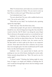"Bikes!" he shouts back, and it takes me a second to realize that this is a nickname for Harley. "Do you want to come up here? Show us what you've got? What about your friend?"

"Let's absolutely leave," I say.

"I'm sorry about him," Eve says, with a sudden hand on my wrist. "He can be such a dick."

"What did you say, baby?" her boyfriend asks, squinting against the stage lights.

"Dick!" she says. Then she blows him a kiss.

I think about people who get stuck in relationships that should be over, who let things burn long after they should be tossed in the bin. Did W think I was doing the same thing? Was it obvious to the people around us, to everybody but me?

Suddenly I'm not thinking about our fight but the date before that. And the ten dates before that one. The late-night gingerbread pancakes at Kerbey Lane, the sunrise runs by the lake before we had to split up for days at our respective schools. Those dates look fine from a distance, but up close they were strangely quiet. Our skin would brush and W would look at me like she'd forgotten I was there.

Suddenly I feel a very special kind of dumb, and I'm pushing my way out of the theater, dashing the curtain aside. Harley pounds along behind me. "Wait. We need to see if it works, right?"

"It doesn't matter." Thinking that baking might be some form of magic is as stupid and childish as thinking that W and I would last through high school, that her feelings would never go stale.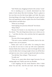"Syd," Harley says, dragging me back to the curtain. "Look."

Eve is standing up in a smooth, determined way that makes it look almost like she's levitating. There's a gleam in her eyes that even the dim house lights can't hide. She starts throwing things at the stage. Everything she can get a hold of. Pens and paperbacks and the napkin from the Proud Muffin, which flutters and falls short.

"What are you doing?"

"Interrupting your precious rehearsal!" she shouts.

"What? Why?"

"Because I'm funnier in my sleep than you are onstage!" Eve shouts. "The only thing funny about you is when you try to . . ." and then she lists a few activities that he's apparently hilarious at.

The rest of the troupe applauds Eve.

"This isn't a scene, assholes!" he shrieks, back to his velociraptor voice, not on purpose.

Harley and I turn to each other. I'm waiting for them to say that it's not real, to come up with some explanation. Instead, Harley bum-rushes me, and even though they're only a tiny bit taller, they're strong enough to heave me off the floor and spin me once, twice, to pick up speed and make me dizzy.

"You did that," they whisper. "That was you."

"It really was."

"There are so many jokes about magic brownies I'm not making right now," Harley says into my shoulder.

I start laughing, but the sound dissolves when I think about Vin and Alec. And Kit and Aadi. And the strangers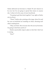Harley delivered my brownies to. Maybe W and I deserve to be over, but I'm not going to spread that misery to anyone else. I refuse to be the cause of more heartbreak.

"I'm going to get them back together," I say, right as Harley sets me down.

"Them?" Harley asks, pointing at the stage, where Eve and her now-ex-boyfriend are standing on chairs, shouting each other's inadequacies.

"Okay, not them. But everyone else who ate my brownies. I'm going to find them and fix it."

Harley's practicality snaps in place so fast that I don't see it coming.

"How?"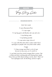## **RECIPE**

Very Sorry Cake

#### **INGREDIENTS**

#### FOR THE CAKE

2 cups all-purpose flour

1½ cups sugar

1½ tsp big grain salt (Kosher salt, sea salt, etc.)

½ tsp baking soda

½ tsp baking powder

1/3 cups extra virgin olive oil

1¼ cups milk (Not skim! Skim is blue water! Don't apologize to people with runny blue water cake!)

3 eggs

1½ tbsp orange zest (That is a lot of zest, but you're very sorry, so it's worth it.)

½ cup fresh juice from actual oranges (Not a carton. Get in there and start crushing pulp and chasing down seeds. Every time you think about cutting a corner, don't. That's not how apologies work. Do the thing, and do it right.)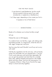#### FOR THE FRUIT SAUCE

## 2 cups berries (I used blueberries, but this would be just as good a fuck-up sauce if you used strawberries or raspberries or blackberries.)

1 to 2 tbsp sugar, depending on how sweet your fruit is

A squeeze or two of fresh lemon

## **DIRECTIONS**

Ready to fix whatever you've done horribly wrong?

Let's go.

Preheat the oven to 350 degrees.

In a medium bowl, mix the flour, sugar, salt, baking soda, and baking powder. In a large bowl, whisk the olive oil, milk, eggs, orange zest, and juice.

See how easy that was? Shouldn't we all say we're sorry with cake?

Fold the dry ingredients into the wet ones, until just barely mixed. Pour the batter into your greased pans—I use two 9-inch round cake pans and sauce them separately, OR you can get truly penitent and stack them for a double layer cake, adding whipped mascarpone in the middle (quick and dirty recipe: one 8-oz tub mascarpone, 2 to 3 squeezes of lemon, 2 tbsp of your favorite fine sugar; dump in a bowl and whip together).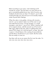Bake according to your pans—start checking at 30 minutes for rounds. The trick here is to wait until you've got a consistently golden-brown top. And of course, your toothpick should come out clean. If it doesn't, you're still working through your shit and you're not actually ready to center anyone else's feelings.

When the cake is truly golden, shining with sincerityand oil—you're ready to take it out of the oven to cool and make the fruit sauce. On the stovetop, in a small saucepan, cook down 1 cup of fruit. When it reaches half of its original volume, add the second cup of fruit and a little sugar. Right at the end, when it's getting thick and almost TOO sweet, hit it with the lemon, to taste. Test with a spoon: it should leave a thin coating of sauce behind, and the flavor should burst in your mouth, like the words that are ready to come out.

Say them with me as you spoon the fruit over the cake: I'm very very very very very very very sorry.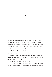4

I stay up late destroying the kitchen and then get up early to deal with the batter-crusted bowls and beaters. I considered making these cakes at the Proud Muffin yesterday, but only one is for the couple who put in the special order. The extra, equally important cake is for the rest of the relationships I pushed off the edge of a cliff. The ones I'm now dedicated to putting back together, one bite at a time.

Besides, Harley never actually got around to filling out that order slip. We were too busy watching Kit and Aadi's explosive green tea battle.

So I'm off the clock. A rogue baker.

My parents come downstairs in their matching PJs. They order a set for everyone in the family for Christmas each year.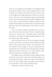They are very straight, but this might be the straightest thing about them. Neither of them seems surprised by the clamor of dishes and violently tossed kitchen towels. They're used to my middle-of-the-night bakestorms, but this one was different. This time I was intentionally trying to expel feelings from my chest, funnel them down through my fingertips: how much I wish I could take back the sadness I spread to other people, like giving them an emotional flu. The special tang of guilt that comes with subtracting so much queer love from the world.

I have two perfect expanses of golden-brown crumb in front of me, but I can't sauce them. Not yet. I carefully enclose them in my carrying cases—two plastic domes named Sally and Gillian—and scoop the bright-smelling blueberry sauce from its pan into a little container.

Mom and Dad sit down on the couch together, basically on top of each other, an overlap of arms and legs and sleepy smiles. They sip each other's coffees. They talk about Tess, who checked in from college to say she's coming home for spring break at the end of the week. They fake argue and then laugh at themselves. They kiss. A lot. They're like this: adorable when anyone else would settle for mildly cute.

I'm holding a cake in each hand, trying to slide past them unnoticed. It isn't until I catch Mom and Dad staring at me in parental horror that I realize I'm crying. Not barely-there tears I can wave off. Big, hearty drops glaze my face. When I go to wipe them, I make a sticky-throated sound.

Mom leaps over the arm of the couch.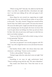"What's wrong, Kid?" Dad asks. He called me Syd the Kid when I was little. It usually feels like a throwback, but right now I can feel years sliding off me with each gasp of wellsalted snot.

Mom slings her arm around me, supporting my weight even though she's tiny. My head almost settles on top of hers at this point. "You okay, sweetie? Things have seemed off the last few days, but I didn't want to push." Of course she noticed. Of course she didn't push. I might seem like the loud, opinionated, stomping type, but the people who know me know that I can be quiet about my feelings, box them up and save them for later. Like cake you put away until it goes so stale that you don't even bother tasting it.

"Come on, Syd. If you don't tell us what's wrong, we have to start guessing," Dad says.

"That *is* the rule," Mom warns.

"Last time you guessed I was secretly pregnant with W's baby," I say with a laugh that turns on me and almost becomes a sob.

Dad finishes Mom's coffee—she always dusts hers with cinnamon—and shrugs. "Science can do wonders."

"Is this a cake problem?" Mom asks.

"Syd gets tragic when her cakes don't come out right," Dad confirms.

Something in me rears its ugly, perfectionist head. "There's nothing wrong with the cake. The cake is blameless."

Glee sneaks onto Mom's face. "Does that mean we can taste it?"